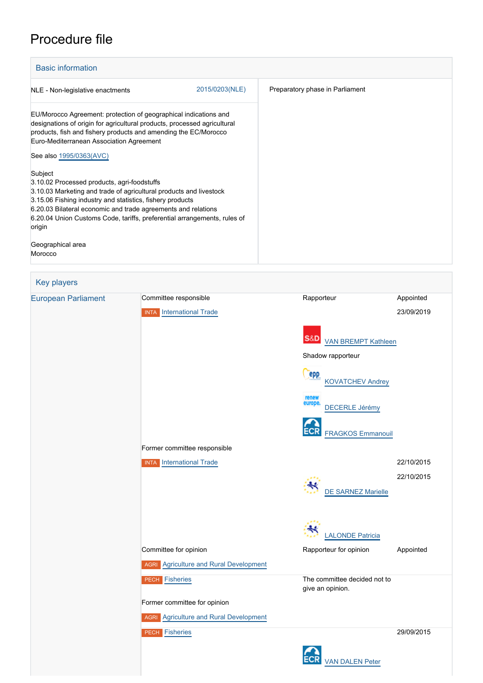## Procedure file

| <b>Basic information</b>                                                                                                                                                                                                                                                                                                                         |                |                                 |  |  |  |  |
|--------------------------------------------------------------------------------------------------------------------------------------------------------------------------------------------------------------------------------------------------------------------------------------------------------------------------------------------------|----------------|---------------------------------|--|--|--|--|
| NLE - Non-legislative enactments                                                                                                                                                                                                                                                                                                                 | 2015/0203(NLE) | Preparatory phase in Parliament |  |  |  |  |
| EU/Morocco Agreement: protection of geographical indications and<br>designations of origin for agricultural products, processed agricultural<br>products, fish and fishery products and amending the EC/Morocco<br>Euro-Mediterranean Association Agreement<br>See also 1995/0363(AVC)                                                           |                |                                 |  |  |  |  |
| Subject<br>3.10.02 Processed products, agri-foodstuffs<br>3.10.03 Marketing and trade of agricultural products and livestock<br>3.15.06 Fishing industry and statistics, fishery products<br>6.20.03 Bilateral economic and trade agreements and relations<br>6.20.04 Union Customs Code, tariffs, preferential arrangements, rules of<br>origin |                |                                 |  |  |  |  |
| Geographical area<br>Morocco                                                                                                                                                                                                                                                                                                                     |                |                                 |  |  |  |  |

## Key players [European Parliament](http://www.europarl.europa.eu/) Committee responsible Rapporteur Rapporteur Appointed INTA [International Trade](http://www.europarl.europa.eu/committees/en/inta/home.html) 23/09/2019 **S&D** [VAN BREMPT Kathleen](http://www.europarl.europa.eu/meps/en/5729) Shadow rapporteur epp [KOVATCHEV Andrey](http://www.europarl.europa.eu/meps/en/97968) [DECERLE Jérémy](http://www.europarl.europa.eu/meps/en/197504) ECR [FRAGKOS Emmanouil](http://www.europarl.europa.eu/meps/en/198490) Former committee responsible INTA [International Trade](http://www.europarl.europa.eu/committees/en/inta/home.html) 22/10/2015 22/10/2015 [DE SARNEZ Marielle](http://www.europarl.europa.eu/meps/en/4335) [LALONDE Patricia](http://www.europarl.europa.eu/meps/en/188254) Committee for opinion **Committee for opinion** Rapporteur for opinion Appointed **AGRI** [Agriculture and Rural Development](http://www.europarl.europa.eu/committees/en/agri/home.html) **PECH** [Fisheries](http://www.europarl.europa.eu/committees/en/pech/home.html) **The committee decided not to** give an opinion. Former committee for opinion **AGRI** [Agriculture and Rural Development](http://www.europarl.europa.eu/committees/en/agri/home.html) **PECH [Fisheries](http://www.europarl.europa.eu/committees/en/pech/home.html)** 29/09/2015[VAN DALEN Peter](http://www.europarl.europa.eu/meps/en/96809)